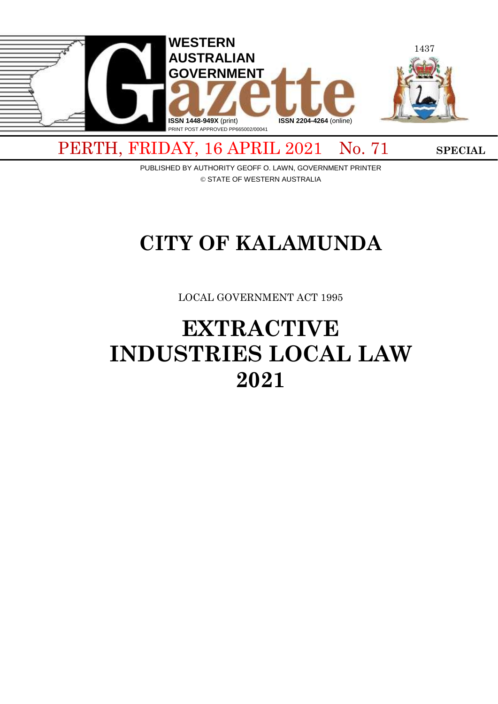

PUBLISHED BY AUTHORITY GEOFF O. LAWN, GOVERNMENT PRINTER © STATE OF WESTERN AUSTRALIA

# **CITY OF KALAMUNDA**

LOCAL GOVERNMENT ACT 1995

# **EXTRACTIVE INDUSTRIES LOCAL LAW 2021**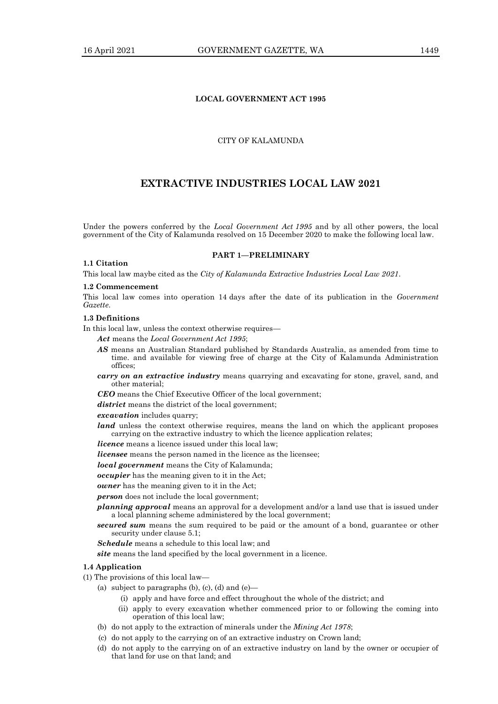## **LOCAL GOVERNMENT ACT 1995**

## CITY OF KALAMUNDA

## **EXTRACTIVE INDUSTRIES LOCAL LAW 2021**

Under the powers conferred by the *Local Government Act 1995* and by all other powers, the local government of the City of Kalamunda resolved on 15 December 2020 to make the following local law.

**PART 1—PRELIMINARY**

#### **1.1 Citation**

This local law maybe cited as the *City of Kalamunda Extractive Industries Local Law 2021*.

#### **1.2 Commencement**

This local law comes into operation 14 days after the date of its publication in the *Government Gazette*.

#### **1.3 Definitions**

In this local law, unless the context otherwise requires—

- *Act* means the *Local Government Act 1995*;
- *AS* means an Australian Standard published by Standards Australia, as amended from time to time. and available for viewing free of charge at the City of Kalamunda Administration offices;
- *carry on an extractive industry* means quarrying and excavating for stone, gravel, sand, and other material;

*CEO* means the Chief Executive Officer of the local government;

*district* means the district of the local government;

*excavation* includes quarry;

*land* unless the context otherwise requires, means the land on which the applicant proposes carrying on the extractive industry to which the licence application relates;

*licence* means a licence issued under this local law;

*licensee* means the person named in the licence as the licensee;

*local government* means the City of Kalamunda;

*occupier* has the meaning given to it in the Act;

*owner* has the meaning given to it in the Act;

*person* does not include the local government;

*planning approval* means an approval for a development and/or a land use that is issued under a local planning scheme administered by the local government;

*secured sum* means the sum required to be paid or the amount of a bond, guarantee or other security under clause 5.1;

*Schedule* means a schedule to this local law; and

*site* means the land specified by the local government in a licence.

#### **1.4 Application**

- (1) The provisions of this local law—
	- (a) subject to paragraphs (b), (c), (d) and  $(e)$ 
		- (i) apply and have force and effect throughout the whole of the district; and
		- (ii) apply to every excavation whether commenced prior to or following the coming into operation of this local law;
	- (b) do not apply to the extraction of minerals under the *Mining Act 1978*;
	- (c) do not apply to the carrying on of an extractive industry on Crown land;
	- (d) do not apply to the carrying on of an extractive industry on land by the owner or occupier of that land for use on that land; and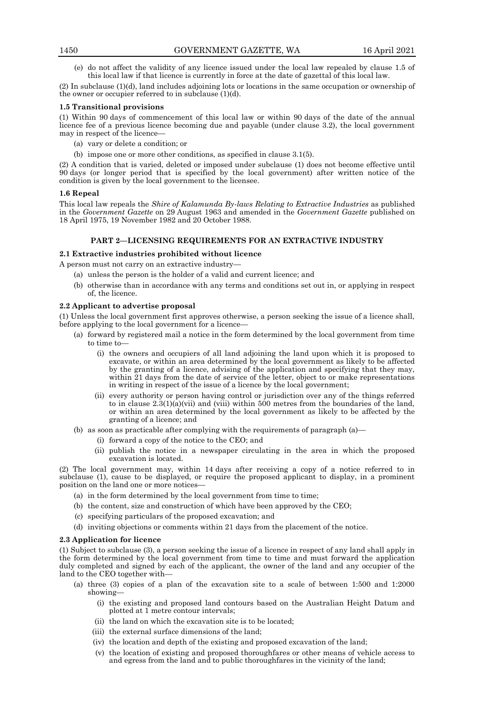(e) do not affect the validity of any licence issued under the local law repealed by clause 1.5 of this local law if that licence is currently in force at the date of gazettal of this local law.

(2) In subclause (1)(d), land includes adjoining lots or locations in the same occupation or ownership of the owner or occupier referred to in subclause  $(1)(d)$ .

#### **1.5 Transitional provisions**

(1) Within 90 days of commencement of this local law or within 90 days of the date of the annual licence fee of a previous licence becoming due and payable (under clause 3.2), the local government may in respect of the licence-

- (a) vary or delete a condition; or
- (b) impose one or more other conditions, as specified in clause 3.1(5).

(2) A condition that is varied, deleted or imposed under subclause (1) does not become effective until 90 days (or longer period that is specified by the local government) after written notice of the condition is given by the local government to the licensee.

#### **1.6 Repeal**

This local law repeals the *Shire of Kalamunda By-laws Relating to Extractive Industries* as published in the *Government Gazette* on 29 August 1963 and amended in the *Government Gazette* published on 18 April 1975, 19 November 1982 and 20 October 1988.

## **PART 2—LICENSING REQUIREMENTS FOR AN EXTRACTIVE INDUSTRY**

#### **2.1 Extractive industries prohibited without licence**

A person must not carry on an extractive industry—

- (a) unless the person is the holder of a valid and current licence; and
- (b) otherwise than in accordance with any terms and conditions set out in, or applying in respect of, the licence.

#### **2.2 Applicant to advertise proposal**

(1) Unless the local government first approves otherwise, a person seeking the issue of a licence shall, before applying to the local government for a licence—

- (a) forward by registered mail a notice in the form determined by the local government from time to time to—
	- (i) the owners and occupiers of all land adjoining the land upon which it is proposed to excavate, or within an area determined by the local government as likely to be affected by the granting of a licence, advising of the application and specifying that they may, within 21 days from the date of service of the letter, object to or make representations in writing in respect of the issue of a licence by the local government;
	- (ii) every authority or person having control or jurisdiction over any of the things referred to in clause  $2.3(1)(a)(vi)$  and (viii) within 500 metres from the boundaries of the land, or within an area determined by the local government as likely to be affected by the granting of a licence; and
- (b) as soon as practicable after complying with the requirements of paragraph (a)—
	- (i) forward a copy of the notice to the CEO; and
	- (ii) publish the notice in a newspaper circulating in the area in which the proposed excavation is located.

(2) The local government may, within 14 days after receiving a copy of a notice referred to in subclause (1), cause to be displayed, or require the proposed applicant to display, in a prominent position on the land one or more notices—

- (a) in the form determined by the local government from time to time;
- (b) the content, size and construction of which have been approved by the CEO;
- (c) specifying particulars of the proposed excavation; and
- (d) inviting objections or comments within 21 days from the placement of the notice.

#### **2.3 Application for licence**

(1) Subject to subclause (3), a person seeking the issue of a licence in respect of any land shall apply in the form determined by the local government from time to time and must forward the application duly completed and signed by each of the applicant, the owner of the land and any occupier of the land to the CEO together with—

- (a) three (3) copies of a plan of the excavation site to a scale of between 1:500 and 1:2000 showing—
	- (i) the existing and proposed land contours based on the Australian Height Datum and plotted at 1 metre contour intervals;
	- (ii) the land on which the excavation site is to be located;
	- (iii) the external surface dimensions of the land;
	- (iv) the location and depth of the existing and proposed excavation of the land;
	- (v) the location of existing and proposed thoroughfares or other means of vehicle access to and egress from the land and to public thoroughfares in the vicinity of the land;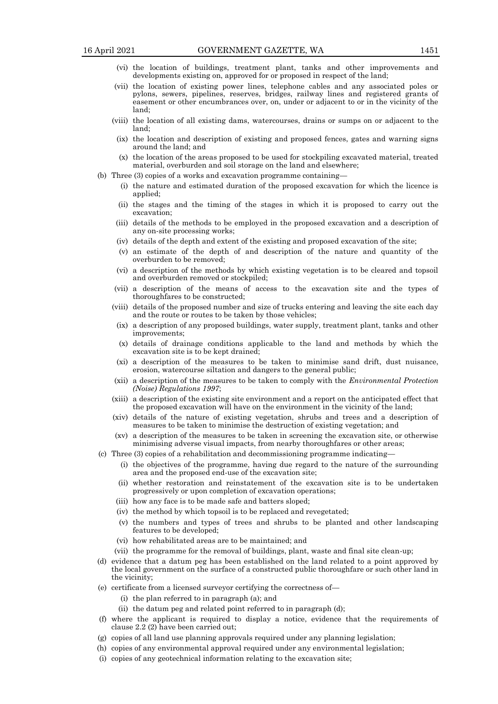- (vi) the location of buildings, treatment plant, tanks and other improvements and developments existing on, approved for or proposed in respect of the land;
- (vii) the location of existing power lines, telephone cables and any associated poles or pylons, sewers, pipelines, reserves, bridges, railway lines and registered grants of easement or other encumbrances over, on, under or adjacent to or in the vicinity of the land;
- (viii) the location of all existing dams, watercourses, drains or sumps on or adjacent to the land;
- (ix) the location and description of existing and proposed fences, gates and warning signs around the land; and
- (x) the location of the areas proposed to be used for stockpiling excavated material, treated material, overburden and soil storage on the land and elsewhere;
- (b) Three (3) copies of a works and excavation programme containing—
	- (i) the nature and estimated duration of the proposed excavation for which the licence is applied;
	- (ii) the stages and the timing of the stages in which it is proposed to carry out the excavation;
	- (iii) details of the methods to be employed in the proposed excavation and a description of any on-site processing works;
	- (iv) details of the depth and extent of the existing and proposed excavation of the site;
	- (v) an estimate of the depth of and description of the nature and quantity of the overburden to be removed;
	- (vi) a description of the methods by which existing vegetation is to be cleared and topsoil and overburden removed or stockpiled;
	- (vii) a description of the means of access to the excavation site and the types of thoroughfares to be constructed;
	- (viii) details of the proposed number and size of trucks entering and leaving the site each day and the route or routes to be taken by those vehicles;
	- (ix) a description of any proposed buildings, water supply, treatment plant, tanks and other improvements;
	- (x) details of drainage conditions applicable to the land and methods by which the excavation site is to be kept drained;
	- (xi) a description of the measures to be taken to minimise sand drift, dust nuisance, erosion, watercourse siltation and dangers to the general public;
	- (xii) a description of the measures to be taken to comply with the *Environmental Protection (Noise) Regulations 1997*;
	- (xiii) a description of the existing site environment and a report on the anticipated effect that the proposed excavation will have on the environment in the vicinity of the land;
	- (xiv) details of the nature of existing vegetation, shrubs and trees and a description of measures to be taken to minimise the destruction of existing vegetation; and
	- (xv) a description of the measures to be taken in screening the excavation site, or otherwise minimising adverse visual impacts, from nearby thoroughfares or other areas;
- (c) Three (3) copies of a rehabilitation and decommissioning programme indicating—
	- (i) the objectives of the programme, having due regard to the nature of the surrounding area and the proposed end-use of the excavation site;
	- (ii) whether restoration and reinstatement of the excavation site is to be undertaken progressively or upon completion of excavation operations;
	- (iii) how any face is to be made safe and batters sloped;
	- (iv) the method by which topsoil is to be replaced and revegetated;
	- (v) the numbers and types of trees and shrubs to be planted and other landscaping features to be developed;
	- (vi) how rehabilitated areas are to be maintained; and
	- (vii) the programme for the removal of buildings, plant, waste and final site clean-up;
- (d) evidence that a datum peg has been established on the land related to a point approved by the local government on the surface of a constructed public thoroughfare or such other land in the vicinity;
- (e) certificate from a licensed surveyor certifying the correctness of—
	- (i) the plan referred to in paragraph (a); and
	- (ii) the datum peg and related point referred to in paragraph (d);
- (f) where the applicant is required to display a notice, evidence that the requirements of clause 2.2 (2) have been carried out;
- (g) copies of all land use planning approvals required under any planning legislation;
- (h) copies of any environmental approval required under any environmental legislation;
- (i) copies of any geotechnical information relating to the excavation site;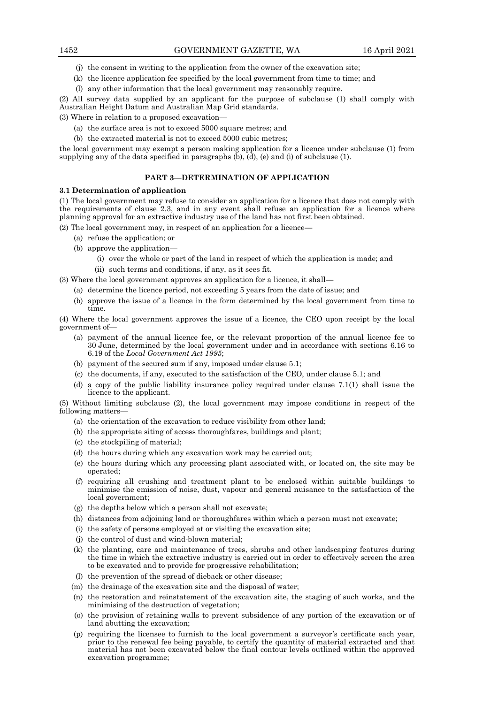- (j) the consent in writing to the application from the owner of the excavation site;
- (k) the licence application fee specified by the local government from time to time; and
- (l) any other information that the local government may reasonably require.

(2) All survey data supplied by an applicant for the purpose of subclause (1) shall comply with Australian Height Datum and Australian Map Grid standards.

(3) Where in relation to a proposed excavation—

- (a) the surface area is not to exceed 5000 square metres; and
- (b) the extracted material is not to exceed 5000 cubic metres;

the local government may exempt a person making application for a licence under subclause (1) from supplying any of the data specified in paragraphs  $(b)$ ,  $(d)$ ,  $(e)$  and  $(i)$  of subclause  $(1)$ .

## **PART 3—DETERMINATION OF APPLICATION**

#### **3.1 Determination of application**

(1) The local government may refuse to consider an application for a licence that does not comply with the requirements of clause 2.3, and in any event shall refuse an application for a licence where planning approval for an extractive industry use of the land has not first been obtained.

(2) The local government may, in respect of an application for a licence—

- (a) refuse the application; or
- (b) approve the application—
	- (i) over the whole or part of the land in respect of which the application is made; and
	- (ii) such terms and conditions, if any, as it sees fit.

(3) Where the local government approves an application for a licence, it shall—

(a) determine the licence period, not exceeding 5 years from the date of issue; and

(b) approve the issue of a licence in the form determined by the local government from time to time.

(4) Where the local government approves the issue of a licence, the CEO upon receipt by the local government of—

- (a) payment of the annual licence fee, or the relevant proportion of the annual licence fee to 30 June, determined by the local government under and in accordance with sections 6.16 to 6.19 of the *Local Government Act 1995*;
- (b) payment of the secured sum if any, imposed under clause 5.1;
- (c) the documents, if any, executed to the satisfaction of the CEO, under clause 5.1; and
- (d) a copy of the public liability insurance policy required under clause 7.1(1) shall issue the licence to the applicant.

(5) Without limiting subclause (2), the local government may impose conditions in respect of the following matters—

- (a) the orientation of the excavation to reduce visibility from other land;
- (b) the appropriate siting of access thoroughfares, buildings and plant;
- (c) the stockpiling of material;
- (d) the hours during which any excavation work may be carried out;
- (e) the hours during which any processing plant associated with, or located on, the site may be operated;
- (f) requiring all crushing and treatment plant to be enclosed within suitable buildings to minimise the emission of noise, dust, vapour and general nuisance to the satisfaction of the local government;
- (g) the depths below which a person shall not excavate;
- (h) distances from adjoining land or thoroughfares within which a person must not excavate;
- (i) the safety of persons employed at or visiting the excavation site;
- (j) the control of dust and wind-blown material;
- (k) the planting, care and maintenance of trees, shrubs and other landscaping features during the time in which the extractive industry is carried out in order to effectively screen the area to be excavated and to provide for progressive rehabilitation;
- (l) the prevention of the spread of dieback or other disease;
- (m) the drainage of the excavation site and the disposal of water;
- (n) the restoration and reinstatement of the excavation site, the staging of such works, and the minimising of the destruction of vegetation;
- (o) the provision of retaining walls to prevent subsidence of any portion of the excavation or of land abutting the excavation;
- (p) requiring the licensee to furnish to the local government a surveyor's certificate each year, prior to the renewal fee being payable, to certify the quantity of material extracted and that material has not been excavated below the final contour levels outlined within the approved excavation programme;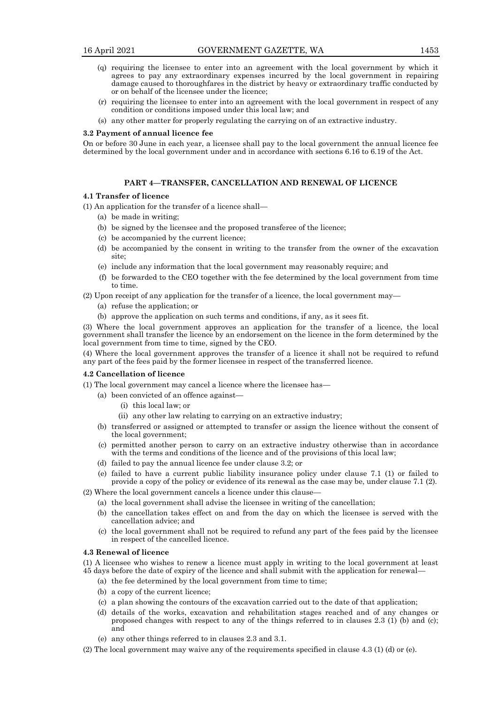- (q) requiring the licensee to enter into an agreement with the local government by which it agrees to pay any extraordinary expenses incurred by the local government in repairing damage caused to thoroughfares in the district by heavy or extraordinary traffic conducted by or on behalf of the licensee under the licence;
- (r) requiring the licensee to enter into an agreement with the local government in respect of any condition or conditions imposed under this local law; and
- (s) any other matter for properly regulating the carrying on of an extractive industry.

#### **3.2 Payment of annual licence fee**

On or before 30 June in each year, a licensee shall pay to the local government the annual licence fee determined by the local government under and in accordance with sections 6.16 to 6.19 of the Act.

#### **PART 4—TRANSFER, CANCELLATION AND RENEWAL OF LICENCE**

#### **4.1 Transfer of licence**

(1) An application for the transfer of a licence shall—

- (a) be made in writing;
- (b) be signed by the licensee and the proposed transferee of the licence;
- (c) be accompanied by the current licence;
- (d) be accompanied by the consent in writing to the transfer from the owner of the excavation site;
- (e) include any information that the local government may reasonably require; and
- (f) be forwarded to the CEO together with the fee determined by the local government from time to time.

(2) Upon receipt of any application for the transfer of a licence, the local government may—

- (a) refuse the application; or
- (b) approve the application on such terms and conditions, if any, as it sees fit.

(3) Where the local government approves an application for the transfer of a licence, the local government shall transfer the licence by an endorsement on the licence in the form determined by the local government from time to time, signed by the CEO.

(4) Where the local government approves the transfer of a licence it shall not be required to refund any part of the fees paid by the former licensee in respect of the transferred licence.

#### **4.2 Cancellation of licence**

(1) The local government may cancel a licence where the licensee has—

- (a) been convicted of an offence against—
	- (i) this local law; or
	- (ii) any other law relating to carrying on an extractive industry;
- (b) transferred or assigned or attempted to transfer or assign the licence without the consent of the local government;
- (c) permitted another person to carry on an extractive industry otherwise than in accordance with the terms and conditions of the licence and of the provisions of this local law;
- (d) failed to pay the annual licence fee under clause 3.2; or
- (e) failed to have a current public liability insurance policy under clause 7.1 (1) or failed to provide a copy of the policy or evidence of its renewal as the case may be, under clause 7.1 (2).

(2) Where the local government cancels a licence under this clause—

- (a) the local government shall advise the licensee in writing of the cancellation;
- (b) the cancellation takes effect on and from the day on which the licensee is served with the cancellation advice; and
- (c) the local government shall not be required to refund any part of the fees paid by the licensee in respect of the cancelled licence.

## **4.3 Renewal of licence**

(1) A licensee who wishes to renew a licence must apply in writing to the local government at least 45 days before the date of expiry of the licence and shall submit with the application for renewal—

- (a) the fee determined by the local government from time to time;
- (b) a copy of the current licence;
- (c) a plan showing the contours of the excavation carried out to the date of that application;
- (d) details of the works, excavation and rehabilitation stages reached and of any changes or proposed changes with respect to any of the things referred to in clauses 2.3 (1) (b) and (c); and
- (e) any other things referred to in clauses 2.3 and 3.1.
- (2) The local government may waive any of the requirements specified in clause 4.3 (1) (d) or (e).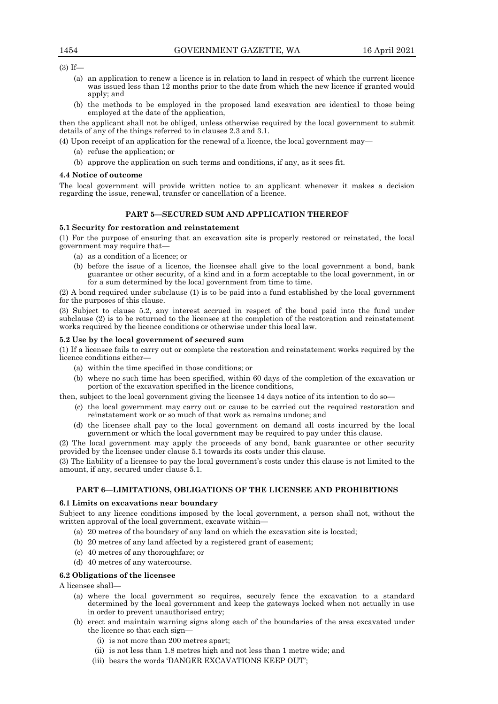(3) If—

- (a) an application to renew a licence is in relation to land in respect of which the current licence was issued less than 12 months prior to the date from which the new licence if granted would apply; and
- (b) the methods to be employed in the proposed land excavation are identical to those being employed at the date of the application,

then the applicant shall not be obliged, unless otherwise required by the local government to submit details of any of the things referred to in clauses 2.3 and 3.1.

(4) Upon receipt of an application for the renewal of a licence, the local government may—

- (a) refuse the application; or
- (b) approve the application on such terms and conditions, if any, as it sees fit.

#### **4.4 Notice of outcome**

The local government will provide written notice to an applicant whenever it makes a decision regarding the issue, renewal, transfer or cancellation of a licence.

## **PART 5—SECURED SUM AND APPLICATION THEREOF**

#### **5.1 Security for restoration and reinstatement**

(1) For the purpose of ensuring that an excavation site is properly restored or reinstated, the local government may require that—

- (a) as a condition of a licence; or
- (b) before the issue of a licence, the licensee shall give to the local government a bond, bank guarantee or other security, of a kind and in a form acceptable to the local government, in or for a sum determined by the local government from time to time.

(2) A bond required under subclause (1) is to be paid into a fund established by the local government for the purposes of this clause.

(3) Subject to clause 5.2, any interest accrued in respect of the bond paid into the fund under subclause (2) is to be returned to the licensee at the completion of the restoration and reinstatement works required by the licence conditions or otherwise under this local law.

#### **5.2 Use by the local government of secured sum**

(1) If a licensee fails to carry out or complete the restoration and reinstatement works required by the licence conditions either—

- (a) within the time specified in those conditions; or
- (b) where no such time has been specified, within 60 days of the completion of the excavation or portion of the excavation specified in the licence conditions,

then, subject to the local government giving the licensee 14 days notice of its intention to do so—

- (c) the local government may carry out or cause to be carried out the required restoration and reinstatement work or so much of that work as remains undone; and
- (d) the licensee shall pay to the local government on demand all costs incurred by the local government or which the local government may be required to pay under this clause.

(2) The local government may apply the proceeds of any bond, bank guarantee or other security provided by the licensee under clause 5.1 towards its costs under this clause.

(3) The liability of a licensee to pay the local government's costs under this clause is not limited to the amount, if any, secured under clause 5.1.

#### **PART 6—LIMITATIONS, OBLIGATIONS OF THE LICENSEE AND PROHIBITIONS**

#### **6.1 Limits on excavations near boundary**

Subject to any licence conditions imposed by the local government, a person shall not, without the written approval of the local government, excavate within—

- (a) 20 metres of the boundary of any land on which the excavation site is located;
- (b) 20 metres of any land affected by a registered grant of easement;
- (c) 40 metres of any thoroughfare; or
- (d) 40 metres of any watercourse.

## **6.2 Obligations of the licensee**

A licensee shall—

- (a) where the local government so requires, securely fence the excavation to a standard determined by the local government and keep the gateways locked when not actually in use in order to prevent unauthorised entry;
- (b) erect and maintain warning signs along each of the boundaries of the area excavated under the licence so that each sign—
	- (i) is not more than 200 metres apart;
	- (ii) is not less than 1.8 metres high and not less than 1 metre wide; and
	- (iii) bears the words 'DANGER EXCAVATIONS KEEP OUT';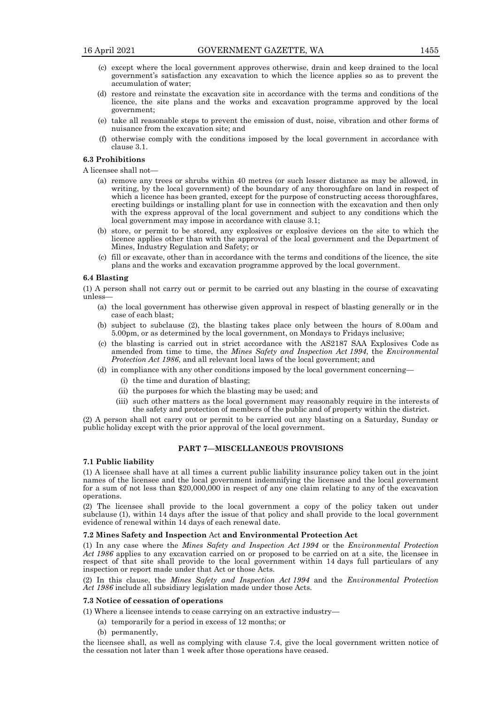- (c) except where the local government approves otherwise, drain and keep drained to the local government's satisfaction any excavation to which the licence applies so as to prevent the accumulation of water;
- (d) restore and reinstate the excavation site in accordance with the terms and conditions of the licence, the site plans and the works and excavation programme approved by the local government;
- (e) take all reasonable steps to prevent the emission of dust, noise, vibration and other forms of nuisance from the excavation site; and
- (f) otherwise comply with the conditions imposed by the local government in accordance with clause 3.1.

#### **6.3 Prohibitions**

A licensee shall not—

- (a) remove any trees or shrubs within 40 metres (or such lesser distance as may be allowed, in writing, by the local government) of the boundary of any thoroughfare on land in respect of which a licence has been granted, except for the purpose of constructing access thoroughfares, erecting buildings or installing plant for use in connection with the excavation and then only with the express approval of the local government and subject to any conditions which the local government may impose in accordance with clause 3.1;
- (b) store, or permit to be stored, any explosives or explosive devices on the site to which the licence applies other than with the approval of the local government and the Department of Mines, Industry Regulation and Safety; or
- (c) fill or excavate, other than in accordance with the terms and conditions of the licence, the site plans and the works and excavation programme approved by the local government.

#### **6.4 Blasting**

(1) A person shall not carry out or permit to be carried out any blasting in the course of excavating unless—

- (a) the local government has otherwise given approval in respect of blasting generally or in the case of each blast;
- (b) subject to subclause (2), the blasting takes place only between the hours of 8.00am and 5.00pm, or as determined by the local government, on Mondays to Fridays inclusive;
- (c) the blasting is carried out in strict accordance with the AS2187 SAA Explosives Code as amended from time to time, the *Mines Safety and Inspection Act 1994*, the *Environmental Protection Act 1986*, and all relevant local laws of the local government; and
- (d) in compliance with any other conditions imposed by the local government concerning—
	- (i) the time and duration of blasting;
	- (ii) the purposes for which the blasting may be used; and
	- (iii) such other matters as the local government may reasonably require in the interests of the safety and protection of members of the public and of property within the district.

(2) A person shall not carry out or permit to be carried out any blasting on a Saturday, Sunday or public holiday except with the prior approval of the local government.

#### **PART 7—MISCELLANEOUS PROVISIONS**

### **7.1 Public liability**

(1) A licensee shall have at all times a current public liability insurance policy taken out in the joint names of the licensee and the local government indemnifying the licensee and the local government for a sum of not less than \$20,000,000 in respect of any one claim relating to any of the excavation operations.

(2) The licensee shall provide to the local government a copy of the policy taken out under subclause (1), within 14 days after the issue of that policy and shall provide to the local government evidence of renewal within 14 days of each renewal date.

## **7.2 Mines Safety and Inspection** Act **and Environmental Protection Act**

(1) In any case where the *Mines Safety and Inspection Act 1994* or the *Environmental Protection Act 1986* applies to any excavation carried on or proposed to be carried on at a site, the licensee in respect of that site shall provide to the local government within 14 days full particulars of any inspection or report made under that Act or those Acts.

(2) In this clause, the *Mines Safety and Inspection Act 1994* and the *Environmental Protection Act 1986* include all subsidiary legislation made under those Acts.

## **7.3 Notice of cessation of operations**

- (1) Where a licensee intends to cease carrying on an extractive industry—
	- (a) temporarily for a period in excess of 12 months; or
	- (b) permanently,

the licensee shall, as well as complying with clause 7.4, give the local government written notice of the cessation not later than 1 week after those operations have ceased.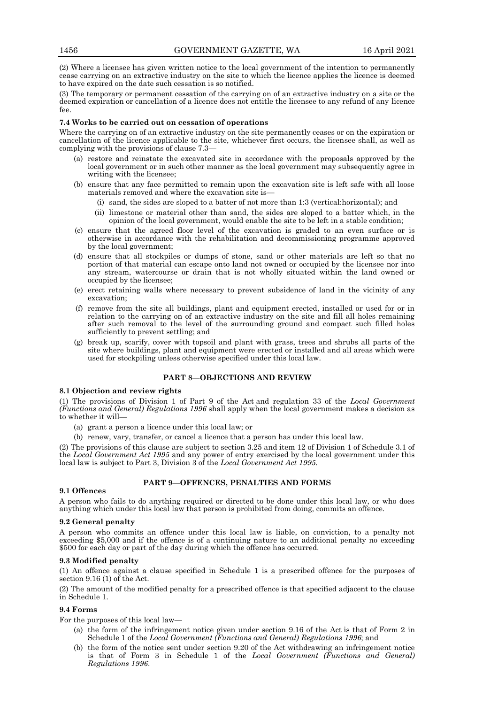(2) Where a licensee has given written notice to the local government of the intention to permanently cease carrying on an extractive industry on the site to which the licence applies the licence is deemed to have expired on the date such cessation is so notified.

(3) The temporary or permanent cessation of the carrying on of an extractive industry on a site or the deemed expiration or cancellation of a licence does not entitle the licensee to any refund of any licence fee.

## **7.4 Works to be carried out on cessation of operations**

Where the carrying on of an extractive industry on the site permanently ceases or on the expiration or cancellation of the licence applicable to the site, whichever first occurs, the licensee shall, as well as complying with the provisions of clause 7.3—

- (a) restore and reinstate the excavated site in accordance with the proposals approved by the local government or in such other manner as the local government may subsequently agree in writing with the licensee;
- (b) ensure that any face permitted to remain upon the excavation site is left safe with all loose materials removed and where the excavation site is—
	- (i) sand, the sides are sloped to a batter of not more than 1:3 (vertical:horizontal); and
	- (ii) limestone or material other than sand, the sides are sloped to a batter which, in the opinion of the local government, would enable the site to be left in a stable condition;
- (c) ensure that the agreed floor level of the excavation is graded to an even surface or is otherwise in accordance with the rehabilitation and decommissioning programme approved by the local government;
- (d) ensure that all stockpiles or dumps of stone, sand or other materials are left so that no portion of that material can escape onto land not owned or occupied by the licensee nor into any stream, watercourse or drain that is not wholly situated within the land owned or occupied by the licensee;
- (e) erect retaining walls where necessary to prevent subsidence of land in the vicinity of any excavation;
- (f) remove from the site all buildings, plant and equipment erected, installed or used for or in relation to the carrying on of an extractive industry on the site and fill all holes remaining after such removal to the level of the surrounding ground and compact such filled holes sufficiently to prevent settling; and
- (g) break up, scarify, cover with topsoil and plant with grass, trees and shrubs all parts of the site where buildings, plant and equipment were erected or installed and all areas which were used for stockpiling unless otherwise specified under this local law.

## **PART 8—OBJECTIONS AND REVIEW**

#### **8.1 Objection and review rights**

(1) The provisions of Division 1 of Part 9 of the Act and regulation 33 of the *Local Government (Functions and General) Regulations 1996* shall apply when the local government makes a decision as to whether it will—

- (a) grant a person a licence under this local law; or
- (b) renew, vary, transfer, or cancel a licence that a person has under this local law.

(2) The provisions of this clause are subject to section 3.25 and item 12 of Division 1 of Schedule 3.1 of the *Local Government Act 1995* and any power of entry exercised by the local government under this local law is subject to Part 3, Division 3 of the *Local Government Act 1995.*

## **9.1 Offences**

## **PART 9—OFFENCES, PENALTIES AND FORMS**

A person who fails to do anything required or directed to be done under this local law, or who does anything which under this local law that person is prohibited from doing, commits an offence.

#### **9.2 General penalty**

A person who commits an offence under this local law is liable, on conviction, to a penalty not exceeding \$5,000 and if the offence is of a continuing nature to an additional penalty no exceeding \$500 for each day or part of the day during which the offence has occurred.

## **9.3 Modified penalty**

(1) An offence against a clause specified in Schedule 1 is a prescribed offence for the purposes of section 9.16 (1) of the Act.

(2) The amount of the modified penalty for a prescribed offence is that specified adjacent to the clause in Schedule 1.

#### **9.4 Forms**

For the purposes of this local law—

- (a) the form of the infringement notice given under section 9.16 of the Act is that of Form 2 in Schedule 1 of the *Local Government (Functions and General) Regulations 1996*; and
- (b) the form of the notice sent under section 9.20 of the Act withdrawing an infringement notice is that of Form 3 in Schedule 1 of the *Local Government (Functions and General) Regulations 1996*.